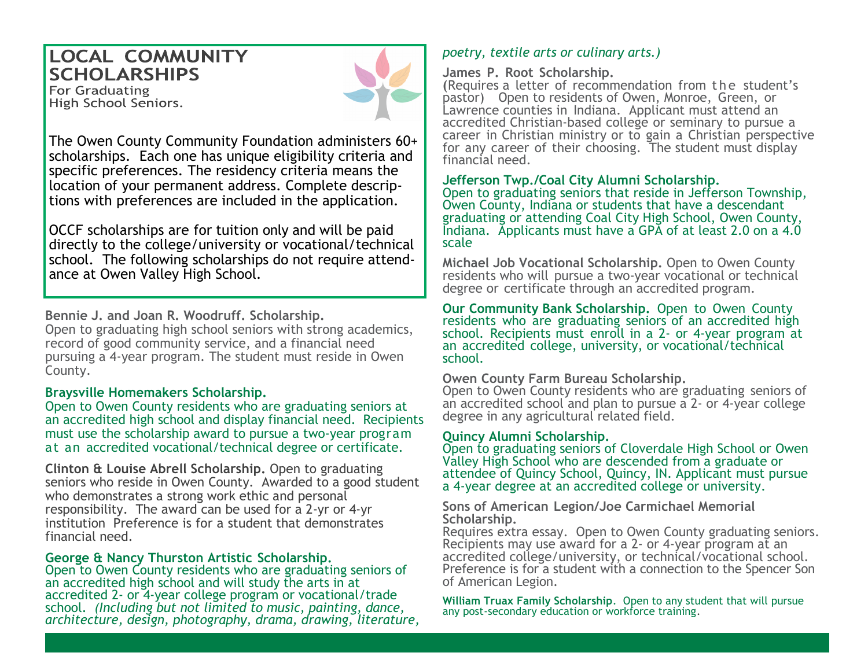## **LOCAL COMMUNITY SCHOLARSHIPS**

**For Graduating** High School Seniors.



The Owen County Community Foundation administers 60+ scholarships. Each one has unique eligibility criteria and specific preferences. The residency criteria means the location of your permanent address. Complete descriptions with preferences are included in the application.

OCCF scholarships are for tuition only and will be paid directly to the college/university or vocational/technical school. The following scholarships do not require attendance at Owen Valley High School.

**Bennie J. and Joan R. Woodruff. Scholarship.**  Open to graduating high school seniors with strong academics, record of good community service, and a financial need pursuing a 4-year program. The student must reside in Owen County.

#### **Braysville Homemakers Scholarship.**

Open to Owen County residents who are graduating seniors at an accredited high school and display financial need. Recipients must use the scholarship award to pursue a two-year program at an accredited vocational/technical degree or certificate.

**Clinton & Louise Abrell Scholarship.** Open to graduating seniors who reside in Owen County. Awarded to a good student who demonstrates a strong work ethic and personal responsibility. The award can be used for a 2-yr or 4-yr institution Preference is for a student that demonstrates financial need.

#### **George & Nancy Thurston Artistic Scholarship.**

Open to Owen County residents who are graduating seniors of an accredited high school and will study the arts in at accredited 2- or 4-year college program or vocational/trade school. *(Including but not limited to music, painting, dance, architecture, design, photography, drama, drawing, literature,* 

### *poetry, textile arts or culinary arts.)*

#### **James P. Root Scholarship.**

**(Requires a letter of recommendation from the student's** pastor) Open to residents of Owen, Monroe, Green, or Lawrence counties in Indiana. Applicant must attend an accredited Christian-based college or seminary to pursue a career in Christian ministry or to gain a Christian perspective for any career of their choosing. The student must display financial need.

#### **Jefferson Twp./Coal City Alumni Scholarship.**

Open to graduating seniors that reside in Jefferson Township, Owen County, Indiana or students that have a descendant graduating or attending Coal City High School, Owen County, Indiana. Applicants must have a GPA of at least 2.0 on a 4.0 scale

**Michael Job Vocational Scholarship.** Open to Owen County residents who will pursue a two-year vocational or technical degree or certificate through an accredited program.

**Our Community Bank Scholarship.** Open to Owen County residents who are graduating seniors of an accredited high school. Recipients must enroll in a 2- or 4-year program at an accredited college, university, or vocational/technical school.

#### **Owen County Farm Bureau Scholarship.**

Open to Owen County residents who are graduating seniors of an accredited school and plan to pursue a 2- or 4-year college degree in any agricultural related field.

#### **Quincy Alumni Scholarship.**

Open to graduating seniors of Cloverdale High School or Owen Valley High School who are descended from a graduate or attendee of Quincy School, Quincy, IN. Applicant must pursue a 4-year degree at an accredited college or university.

**Sons of American Legion/Joe Carmichael Memorial Scholarship.** 

Requires extra essay. Open to Owen County graduating seniors. Recipients may use award for a 2- or 4-year program at an accredited college/university, or technical/vocational school. Preference is for a student with a connection to the Spencer Son of American Legion.

**William Truax Family Scholarship**. Open to any student that will pursue any post-secondary education or workforce training.